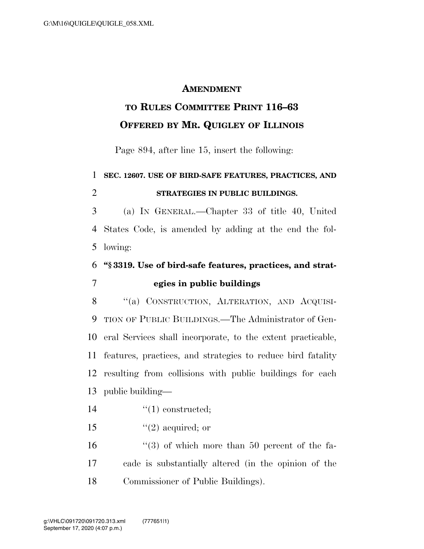## **AMENDMENT**

## **TO RULES COMMITTEE PRINT 116–63 OFFERED BY MR. QUIGLEY OF ILLINOIS**

Page 894, after line 15, insert the following:

## **SEC. 12607. USE OF BIRD-SAFE FEATURES, PRACTICES, AND STRATEGIES IN PUBLIC BUILDINGS.**

 (a) IN GENERAL.—Chapter 33 of title 40, United States Code, is amended by adding at the end the fol-lowing:

## **''§ 3319. Use of bird-safe features, practices, and strat-egies in public buildings**

8 "(a) CONSTRUCTION, ALTERATION, AND ACQUISI- TION OF PUBLIC BUILDINGS.—The Administrator of Gen- eral Services shall incorporate, to the extent practicable, features, practices, and strategies to reduce bird fatality resulting from collisions with public buildings for each public building—

- ''(1) constructed;
- 15  $(2)$  acquired; or

 ''(3) of which more than 50 percent of the fa- cade is substantially altered (in the opinion of the Commissioner of Public Buildings).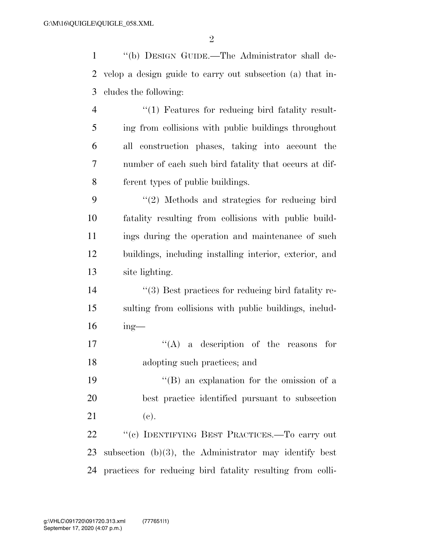''(b) DESIGN GUIDE.—The Administrator shall de- velop a design guide to carry out subsection (a) that in-cludes the following:

4 "(1) Features for reducing bird fatality result- ing from collisions with public buildings throughout all construction phases, taking into account the number of each such bird fatality that occurs at dif-ferent types of public buildings.

 ''(2) Methods and strategies for reducing bird fatality resulting from collisions with public build- ings during the operation and maintenance of such buildings, including installing interior, exterior, and site lighting.

14  $\frac{1}{3}$  Best practices for reducing bird fatality re- sulting from collisions with public buildings, includ-ing—

 ''(A) a description of the reasons for adopting such practices; and

 ''(B) an explanation for the omission of a best practice identified pursuant to subsection 21 (c).

22 " (c) IDENTIFYING BEST PRACTICES.—To carry out subsection (b)(3), the Administrator may identify best practices for reducing bird fatality resulting from colli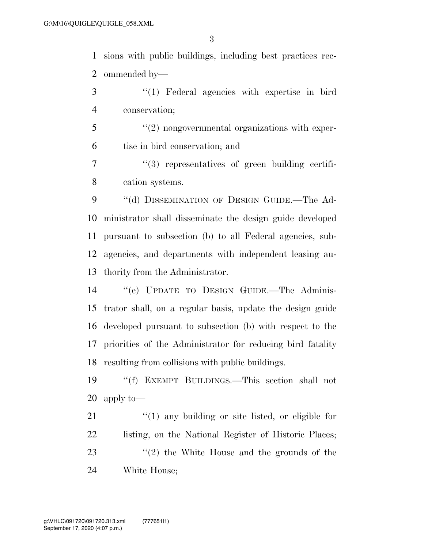sions with public buildings, including best practices rec-ommended by—

 ''(1) Federal agencies with expertise in bird conservation;

 ''(2) nongovernmental organizations with exper-tise in bird conservation; and

7  $(3)$  representatives of green building certifi-cation systems.

9 ""(d) DISSEMINATION OF DESIGN GUIDE.—The Ad- ministrator shall disseminate the design guide developed pursuant to subsection (b) to all Federal agencies, sub- agencies, and departments with independent leasing au-thority from the Administrator.

 ''(e) UPDATE TO DESIGN GUIDE.—The Adminis- trator shall, on a regular basis, update the design guide developed pursuant to subsection (b) with respect to the priorities of the Administrator for reducing bird fatality resulting from collisions with public buildings.

 ''(f) EXEMPT BUILDINGS.—This section shall not apply to—

21 "(1) any building or site listed, or eligible for listing, on the National Register of Historic Places; 23 ''(2) the White House and the grounds of the White House;